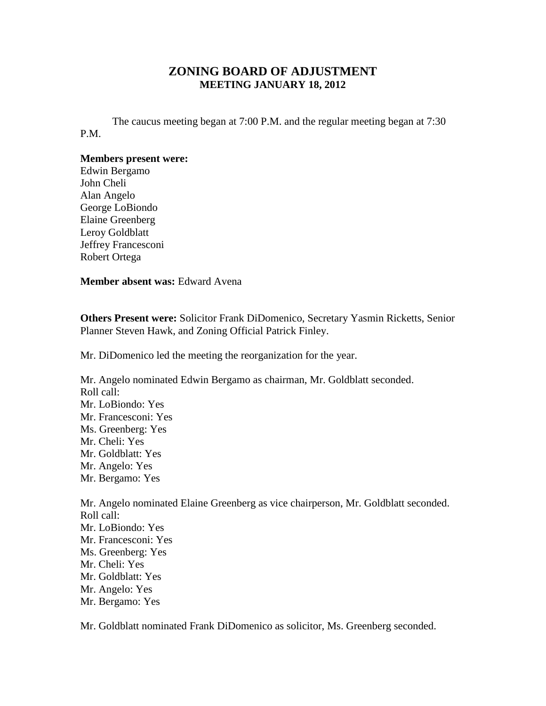## **ZONING BOARD OF ADJUSTMENT MEETING JANUARY 18, 2012**

The caucus meeting began at 7:00 P.M. and the regular meeting began at 7:30 P.M.

## **Members present were:**

Edwin Bergamo John Cheli Alan Angelo George LoBiondo Elaine Greenberg Leroy Goldblatt Jeffrey Francesconi Robert Ortega

**Member absent was:** Edward Avena

**Others Present were:** Solicitor Frank DiDomenico, Secretary Yasmin Ricketts, Senior Planner Steven Hawk, and Zoning Official Patrick Finley.

Mr. DiDomenico led the meeting the reorganization for the year.

Mr. Angelo nominated Edwin Bergamo as chairman, Mr. Goldblatt seconded. Roll call: Mr. LoBiondo: Yes Mr. Francesconi: Yes Ms. Greenberg: Yes Mr. Cheli: Yes Mr. Goldblatt: Yes Mr. Angelo: Yes Mr. Bergamo: Yes Mr. Angelo nominated Elaine Greenberg as vice chairperson, Mr. Goldblatt seconded. Roll call: Mr. LoBiondo: Yes Mr. Francesconi: Yes

- Ms. Greenberg: Yes Mr. Cheli: Yes Mr. Goldblatt: Yes Mr. Angelo: Yes
- Mr. Bergamo: Yes

Mr. Goldblatt nominated Frank DiDomenico as solicitor, Ms. Greenberg seconded.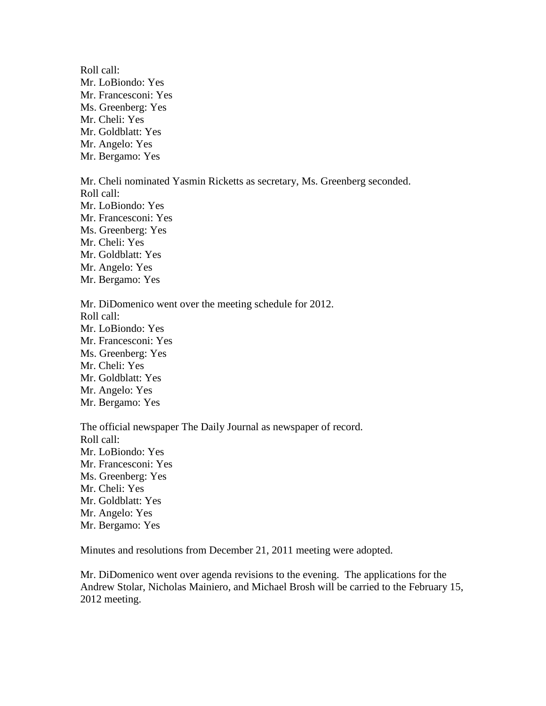Roll call: Mr. LoBiondo: Yes Mr. Francesconi: Yes Ms. Greenberg: Yes Mr. Cheli: Yes Mr. Goldblatt: Yes Mr. Angelo: Yes Mr. Bergamo: Yes

Mr. Cheli nominated Yasmin Ricketts as secretary, Ms. Greenberg seconded. Roll call: Mr. LoBiondo: Yes Mr. Francesconi: Yes Ms. Greenberg: Yes Mr. Cheli: Yes Mr. Goldblatt: Yes Mr. Angelo: Yes Mr. Bergamo: Yes

Mr. DiDomenico went over the meeting schedule for 2012. Roll call: Mr. LoBiondo: Yes Mr. Francesconi: Yes Ms. Greenberg: Yes Mr. Cheli: Yes Mr. Goldblatt: Yes Mr. Angelo: Yes Mr. Bergamo: Yes

The official newspaper The Daily Journal as newspaper of record. Roll call: Mr. LoBiondo: Yes Mr. Francesconi: Yes Ms. Greenberg: Yes Mr. Cheli: Yes Mr. Goldblatt: Yes Mr. Angelo: Yes Mr. Bergamo: Yes

Minutes and resolutions from December 21, 2011 meeting were adopted.

Mr. DiDomenico went over agenda revisions to the evening. The applications for the Andrew Stolar, Nicholas Mainiero, and Michael Brosh will be carried to the February 15, 2012 meeting.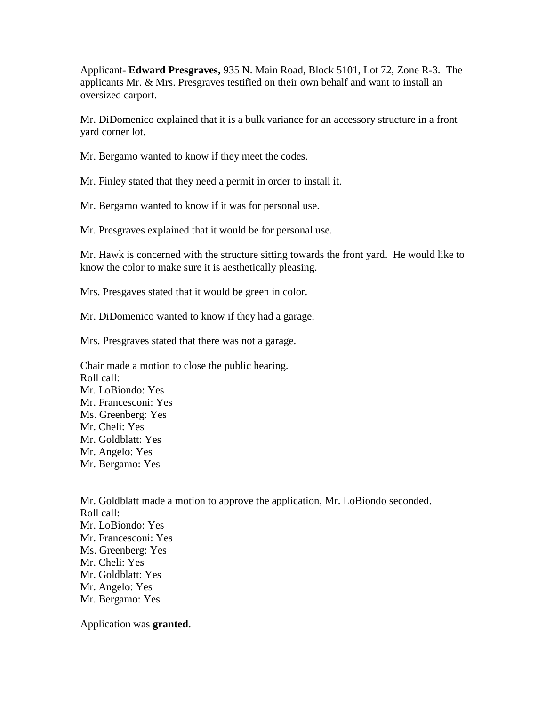Applicant- **Edward Presgraves,** 935 N. Main Road, Block 5101, Lot 72, Zone R-3. The applicants Mr. & Mrs. Presgraves testified on their own behalf and want to install an oversized carport.

Mr. DiDomenico explained that it is a bulk variance for an accessory structure in a front yard corner lot.

Mr. Bergamo wanted to know if they meet the codes.

Mr. Finley stated that they need a permit in order to install it.

Mr. Bergamo wanted to know if it was for personal use.

Mr. Presgraves explained that it would be for personal use.

Mr. Hawk is concerned with the structure sitting towards the front yard. He would like to know the color to make sure it is aesthetically pleasing.

Mrs. Presgaves stated that it would be green in color.

Mr. DiDomenico wanted to know if they had a garage.

Mrs. Presgraves stated that there was not a garage.

Chair made a motion to close the public hearing. Roll call: Mr. LoBiondo: Yes Mr. Francesconi: Yes Ms. Greenberg: Yes Mr. Cheli: Yes Mr. Goldblatt: Yes Mr. Angelo: Yes Mr. Bergamo: Yes

Mr. Goldblatt made a motion to approve the application, Mr. LoBiondo seconded. Roll call: Mr. LoBiondo: Yes Mr. Francesconi: Yes Ms. Greenberg: Yes Mr. Cheli: Yes Mr. Goldblatt: Yes Mr. Angelo: Yes Mr. Bergamo: Yes

Application was **granted**.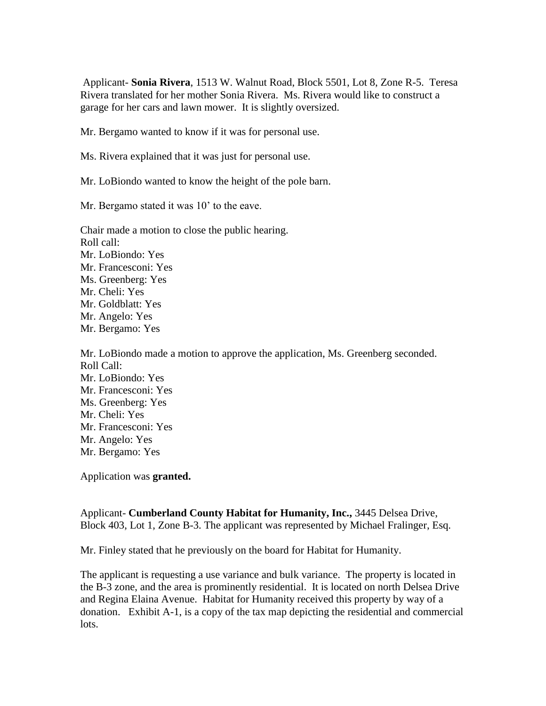Applicant- **Sonia Rivera**, 1513 W. Walnut Road, Block 5501, Lot 8, Zone R-5. Teresa Rivera translated for her mother Sonia Rivera. Ms. Rivera would like to construct a garage for her cars and lawn mower. It is slightly oversized.

Mr. Bergamo wanted to know if it was for personal use.

Ms. Rivera explained that it was just for personal use.

Mr. LoBiondo wanted to know the height of the pole barn.

Mr. Bergamo stated it was 10' to the eave.

Chair made a motion to close the public hearing. Roll call: Mr. LoBiondo: Yes Mr. Francesconi: Yes Ms. Greenberg: Yes Mr. Cheli: Yes Mr. Goldblatt: Yes Mr. Angelo: Yes Mr. Bergamo: Yes

Mr. LoBiondo made a motion to approve the application, Ms. Greenberg seconded. Roll Call: Mr. LoBiondo: Yes Mr. Francesconi: Yes Ms. Greenberg: Yes Mr. Cheli: Yes Mr. Francesconi: Yes Mr. Angelo: Yes Mr. Bergamo: Yes

Application was **granted.**

Applicant- **Cumberland County Habitat for Humanity, Inc.,** 3445 Delsea Drive, Block 403, Lot 1, Zone B-3. The applicant was represented by Michael Fralinger, Esq.

Mr. Finley stated that he previously on the board for Habitat for Humanity.

The applicant is requesting a use variance and bulk variance. The property is located in the B-3 zone, and the area is prominently residential. It is located on north Delsea Drive and Regina Elaina Avenue. Habitat for Humanity received this property by way of a donation. Exhibit A-1, is a copy of the tax map depicting the residential and commercial lots.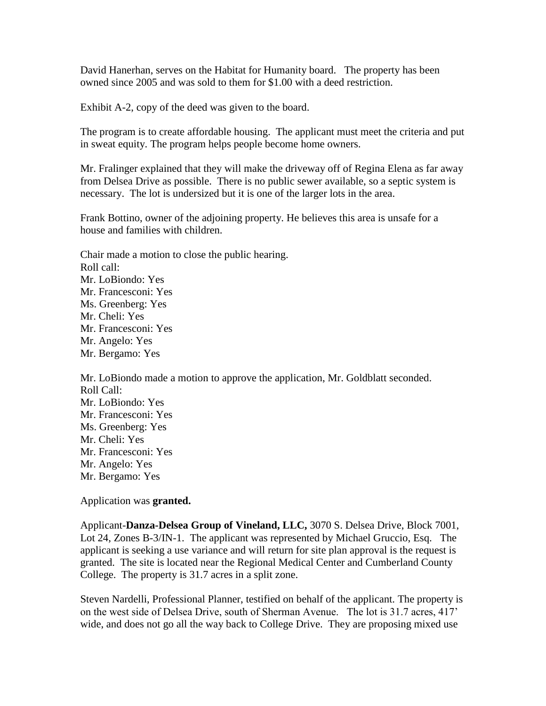David Hanerhan, serves on the Habitat for Humanity board. The property has been owned since 2005 and was sold to them for \$1.00 with a deed restriction.

Exhibit A-2, copy of the deed was given to the board.

The program is to create affordable housing. The applicant must meet the criteria and put in sweat equity. The program helps people become home owners.

Mr. Fralinger explained that they will make the driveway off of Regina Elena as far away from Delsea Drive as possible. There is no public sewer available, so a septic system is necessary. The lot is undersized but it is one of the larger lots in the area.

Frank Bottino, owner of the adjoining property. He believes this area is unsafe for a house and families with children.

Chair made a motion to close the public hearing. Roll call: Mr. LoBiondo: Yes Mr. Francesconi: Yes Ms. Greenberg: Yes Mr. Cheli: Yes Mr. Francesconi: Yes Mr. Angelo: Yes Mr. Bergamo: Yes

Mr. LoBiondo made a motion to approve the application, Mr. Goldblatt seconded. Roll Call: Mr. LoBiondo: Yes Mr. Francesconi: Yes Ms. Greenberg: Yes Mr. Cheli: Yes Mr. Francesconi: Yes Mr. Angelo: Yes Mr. Bergamo: Yes

Application was **granted.**

Applicant-**Danza-Delsea Group of Vineland, LLC,** 3070 S. Delsea Drive, Block 7001, Lot 24, Zones B-3/IN-1. The applicant was represented by Michael Gruccio, Esq. The applicant is seeking a use variance and will return for site plan approval is the request is granted. The site is located near the Regional Medical Center and Cumberland County College. The property is 31.7 acres in a split zone.

Steven Nardelli, Professional Planner, testified on behalf of the applicant. The property is on the west side of Delsea Drive, south of Sherman Avenue. The lot is 31.7 acres, 417' wide, and does not go all the way back to College Drive. They are proposing mixed use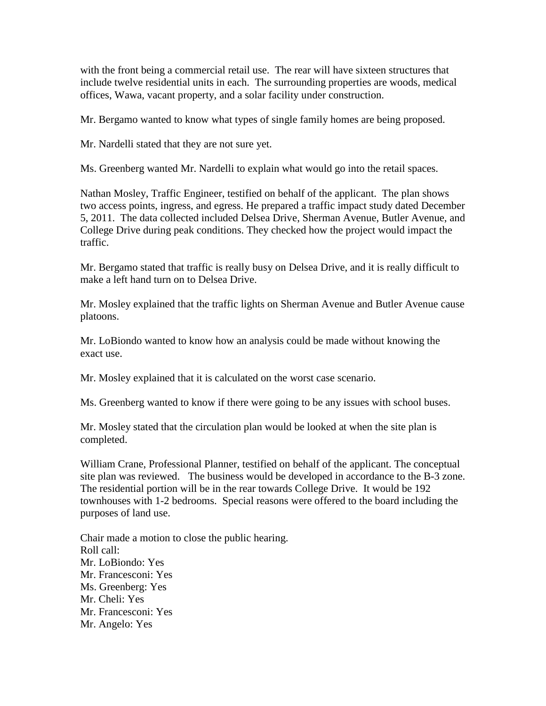with the front being a commercial retail use. The rear will have sixteen structures that include twelve residential units in each. The surrounding properties are woods, medical offices, Wawa, vacant property, and a solar facility under construction.

Mr. Bergamo wanted to know what types of single family homes are being proposed.

Mr. Nardelli stated that they are not sure yet.

Ms. Greenberg wanted Mr. Nardelli to explain what would go into the retail spaces.

Nathan Mosley, Traffic Engineer, testified on behalf of the applicant. The plan shows two access points, ingress, and egress. He prepared a traffic impact study dated December 5, 2011. The data collected included Delsea Drive, Sherman Avenue, Butler Avenue, and College Drive during peak conditions. They checked how the project would impact the traffic.

Mr. Bergamo stated that traffic is really busy on Delsea Drive, and it is really difficult to make a left hand turn on to Delsea Drive.

Mr. Mosley explained that the traffic lights on Sherman Avenue and Butler Avenue cause platoons.

Mr. LoBiondo wanted to know how an analysis could be made without knowing the exact use.

Mr. Mosley explained that it is calculated on the worst case scenario.

Ms. Greenberg wanted to know if there were going to be any issues with school buses.

Mr. Mosley stated that the circulation plan would be looked at when the site plan is completed.

William Crane, Professional Planner, testified on behalf of the applicant. The conceptual site plan was reviewed. The business would be developed in accordance to the B-3 zone. The residential portion will be in the rear towards College Drive. It would be 192 townhouses with 1-2 bedrooms. Special reasons were offered to the board including the purposes of land use.

Chair made a motion to close the public hearing. Roll call: Mr. LoBiondo: Yes Mr. Francesconi: Yes Ms. Greenberg: Yes Mr. Cheli: Yes Mr. Francesconi: Yes Mr. Angelo: Yes